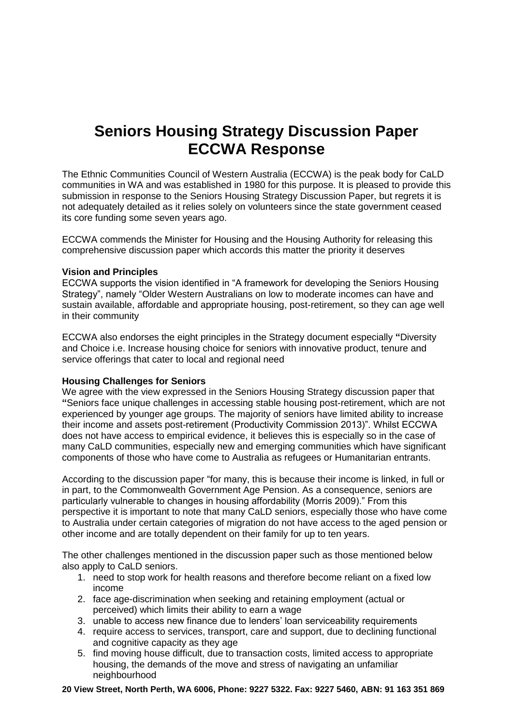# **Seniors Housing Strategy Discussion Paper ECCWA Response**

The Ethnic Communities Council of Western Australia (ECCWA) is the peak body for CaLD communities in WA and was established in 1980 for this purpose. It is pleased to provide this submission in response to the Seniors Housing Strategy Discussion Paper, but regrets it is not adequately detailed as it relies solely on volunteers since the state government ceased its core funding some seven years ago.

ECCWA commends the Minister for Housing and the Housing Authority for releasing this comprehensive discussion paper which accords this matter the priority it deserves

#### **Vision and Principles**

ECCWA supports the vision identified in "A framework for developing the Seniors Housing Strategy", namely "Older Western Australians on low to moderate incomes can have and sustain available, affordable and appropriate housing, post-retirement, so they can age well in their community

ECCWA also endorses the eight principles in the Strategy document especially **"**Diversity and Choice i.e. Increase housing choice for seniors with innovative product, tenure and service offerings that cater to local and regional need

## **Housing Challenges for Seniors**

We agree with the view expressed in the Seniors Housing Strategy discussion paper that **"**Seniors face unique challenges in accessing stable housing post-retirement, which are not experienced by younger age groups. The majority of seniors have limited ability to increase their income and assets post-retirement (Productivity Commission 2013)". Whilst ECCWA does not have access to empirical evidence, it believes this is especially so in the case of many CaLD communities, especially new and emerging communities which have significant components of those who have come to Australia as refugees or Humanitarian entrants.

According to the discussion paper "for many, this is because their income is linked, in full or in part, to the Commonwealth Government Age Pension. As a consequence, seniors are particularly vulnerable to changes in housing affordability (Morris 2009)." From this perspective it is important to note that many CaLD seniors, especially those who have come to Australia under certain categories of migration do not have access to the aged pension or other income and are totally dependent on their family for up to ten years.

The other challenges mentioned in the discussion paper such as those mentioned below also apply to CaLD seniors.

- 1. need to stop work for health reasons and therefore become reliant on a fixed low income
- 2. face age-discrimination when seeking and retaining employment (actual or perceived) which limits their ability to earn a wage
- 3. unable to access new finance due to lenders' loan serviceability requirements
- 4. require access to services, transport, care and support, due to declining functional and cognitive capacity as they age
- 5. find moving house difficult, due to transaction costs, limited access to appropriate housing, the demands of the move and stress of navigating an unfamiliar neighbourhood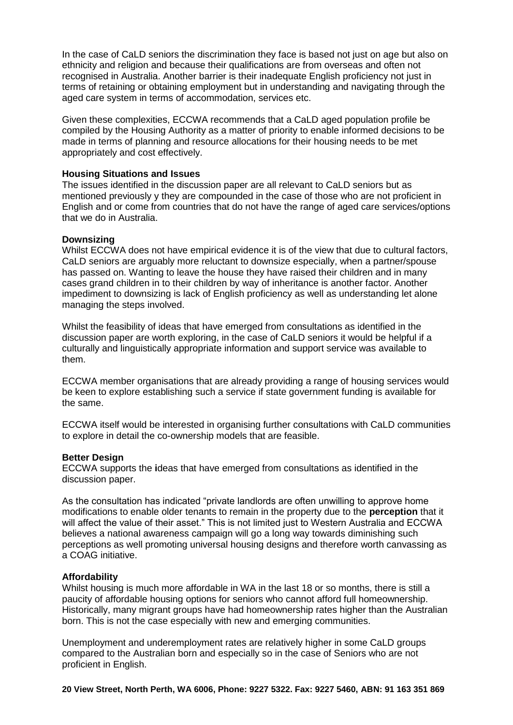In the case of CaLD seniors the discrimination they face is based not just on age but also on ethnicity and religion and because their qualifications are from overseas and often not recognised in Australia. Another barrier is their inadequate English proficiency not just in terms of retaining or obtaining employment but in understanding and navigating through the aged care system in terms of accommodation, services etc.

Given these complexities, ECCWA recommends that a CaLD aged population profile be compiled by the Housing Authority as a matter of priority to enable informed decisions to be made in terms of planning and resource allocations for their housing needs to be met appropriately and cost effectively.

### **Housing Situations and Issues**

The issues identified in the discussion paper are all relevant to CaLD seniors but as mentioned previously y they are compounded in the case of those who are not proficient in English and or come from countries that do not have the range of aged care services/options that we do in Australia.

#### **Downsizing**

Whilst ECCWA does not have empirical evidence it is of the view that due to cultural factors, CaLD seniors are arguably more reluctant to downsize especially, when a partner/spouse has passed on. Wanting to leave the house they have raised their children and in many cases grand children in to their children by way of inheritance is another factor. Another impediment to downsizing is lack of English proficiency as well as understanding let alone managing the steps involved.

Whilst the feasibility of ideas that have emerged from consultations as identified in the discussion paper are worth exploring, in the case of CaLD seniors it would be helpful if a culturally and linguistically appropriate information and support service was available to them.

ECCWA member organisations that are already providing a range of housing services would be keen to explore establishing such a service if state government funding is available for the same.

ECCWA itself would be interested in organising further consultations with CaLD communities to explore in detail the co-ownership models that are feasible.

#### **Better Design**

ECCWA supports the **i**deas that have emerged from consultations as identified in the discussion paper.

As the consultation has indicated "private landlords are often unwilling to approve home modifications to enable older tenants to remain in the property due to the **perception** that it will affect the value of their asset." This is not limited just to Western Australia and ECCWA believes a national awareness campaign will go a long way towards diminishing such perceptions as well promoting universal housing designs and therefore worth canvassing as a COAG initiative.

#### **Affordability**

Whilst housing is much more affordable in WA in the last 18 or so months, there is still a paucity of affordable housing options for seniors who cannot afford full homeownership. Historically, many migrant groups have had homeownership rates higher than the Australian born. This is not the case especially with new and emerging communities.

Unemployment and underemployment rates are relatively higher in some CaLD groups compared to the Australian born and especially so in the case of Seniors who are not proficient in English.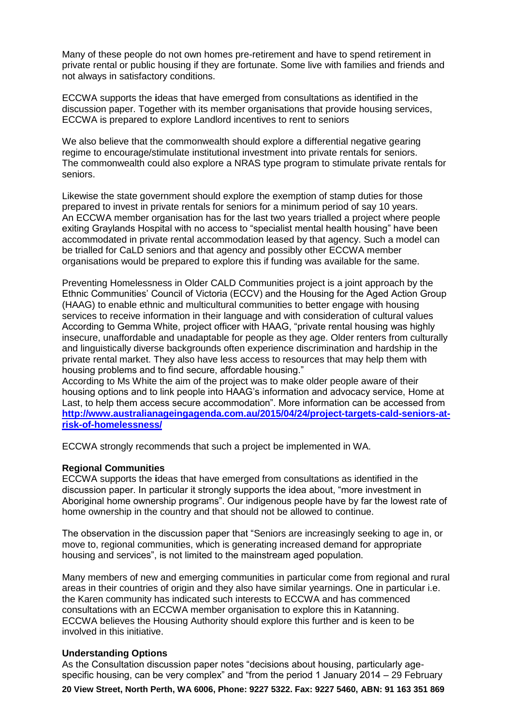Many of these people do not own homes pre-retirement and have to spend retirement in private rental or public housing if they are fortunate. Some live with families and friends and not always in satisfactory conditions.

ECCWA supports the **i**deas that have emerged from consultations as identified in the discussion paper. Together with its member organisations that provide housing services, ECCWA is prepared to explore Landlord incentives to rent to seniors

We also believe that the commonwealth should explore a differential negative gearing regime to encourage/stimulate institutional investment into private rentals for seniors. The commonwealth could also explore a NRAS type program to stimulate private rentals for seniors.

Likewise the state government should explore the exemption of stamp duties for those prepared to invest in private rentals for seniors for a minimum period of say 10 years. An ECCWA member organisation has for the last two years trialled a project where people exiting Graylands Hospital with no access to "specialist mental health housing" have been accommodated in private rental accommodation leased by that agency. Such a model can be trialled for CaLD seniors and that agency and possibly other ECCWA member organisations would be prepared to explore this if funding was available for the same.

Preventing [Homelessness](http://www.oldertenants.org.au/news/project-preventing-homelessness-cald-communities) in Older CALD Communities project is a joint approach by the Ethnic Communities' Council of Victoria (ECCV) and the Housing for the Aged Action Group (HAAG) to enable ethnic and multicultural communities to better engage with housing services to receive information in their language and with consideration of cultural values According to Gemma White, project officer with HAAG, "private rental housing was highly insecure, unaffordable and unadaptable for people as they age. Older renters from culturally and linguistically diverse backgrounds often experience discrimination and hardship in the private rental market. They also have less access to resources that may help them with housing problems and to find secure, affordable housing."

According to Ms White the aim of the project was to make older people aware of their housing options and to link people into HAAG's information and advocacy service, [Home](http://www.oldertenants.org.au/home_at_last) at [Last,](http://www.oldertenants.org.au/home_at_last) to help them access secure accommodation". More information can be accessed from **[http://www.australianageingagenda.com.au/2015/04/24/project-targets-cald-seniors-at](http://www.australianageingagenda.com.au/2015/04/24/project-targets-cald-seniors-at-risk-of-homelessness/)[risk-of-homelessness/](http://www.australianageingagenda.com.au/2015/04/24/project-targets-cald-seniors-at-risk-of-homelessness/)**

ECCWA strongly recommends that such a project be implemented in WA.

#### **Regional Communities**

ECCWA supports the **i**deas that have emerged from consultations as identified in the discussion paper. In particular it strongly supports the idea about, "more investment in Aboriginal home ownership programs". Our indigenous people have by far the lowest rate of home ownership in the country and that should not be allowed to continue.

The observation in the discussion paper that "Seniors are increasingly seeking to age in, or move to, regional communities, which is generating increased demand for appropriate housing and services", is not limited to the mainstream aged population.

Many members of new and emerging communities in particular come from regional and rural areas in their countries of origin and they also have similar yearnings. One in particular i.e. the Karen community has indicated such interests to ECCWA and has commenced consultations with an ECCWA member organisation to explore this in Katanning. ECCWA believes the Housing Authority should explore this further and is keen to be involved in this initiative.

#### **Understanding Options**

As the Consultation discussion paper notes "decisions about housing, particularly agespecific housing, can be very complex" and "from the period 1 January 2014 – 29 February

**20 View Street, North Perth, WA 6006, Phone: 9227 5322. Fax: 9227 5460, ABN: 91 163 351 869**